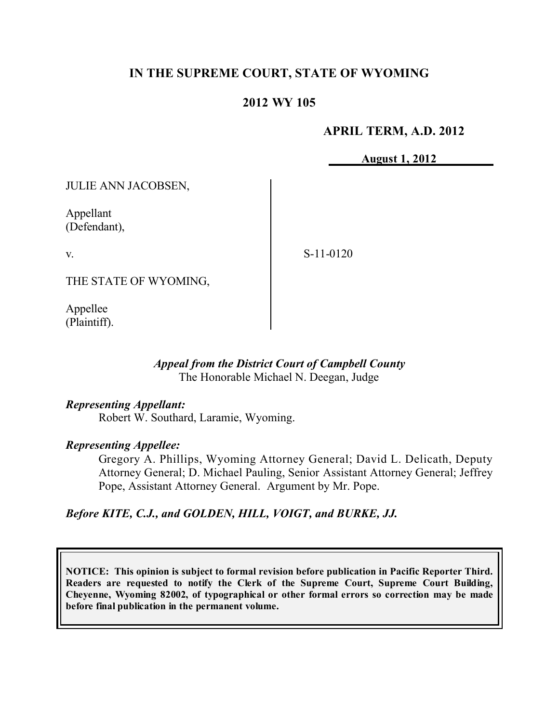# **IN THE SUPREME COURT, STATE OF WYOMING**

### **2012 WY 105**

### **APRIL TERM, A.D. 2012**

**August 1, 2012**

JULIE ANN JACOBSEN,

Appellant (Defendant),

v.

S-11-0120

THE STATE OF WYOMING,

Appellee (Plaintiff).

### *Appeal from the District Court of Campbell County* The Honorable Michael N. Deegan, Judge

### *Representing Appellant:*

Robert W. Southard, Laramie, Wyoming.

### *Representing Appellee:*

Gregory A. Phillips, Wyoming Attorney General; David L. Delicath, Deputy Attorney General; D. Michael Pauling, Senior Assistant Attorney General; Jeffrey Pope, Assistant Attorney General. Argument by Mr. Pope.

### *Before KITE, C.J., and GOLDEN, HILL, VOIGT, and BURKE, JJ.*

**NOTICE: This opinion is subject to formal revision before publication in Pacific Reporter Third. Readers are requested to notify the Clerk of the Supreme Court, Supreme Court Building, Cheyenne, Wyoming 82002, of typographical or other formal errors so correction may be made before final publication in the permanent volume.**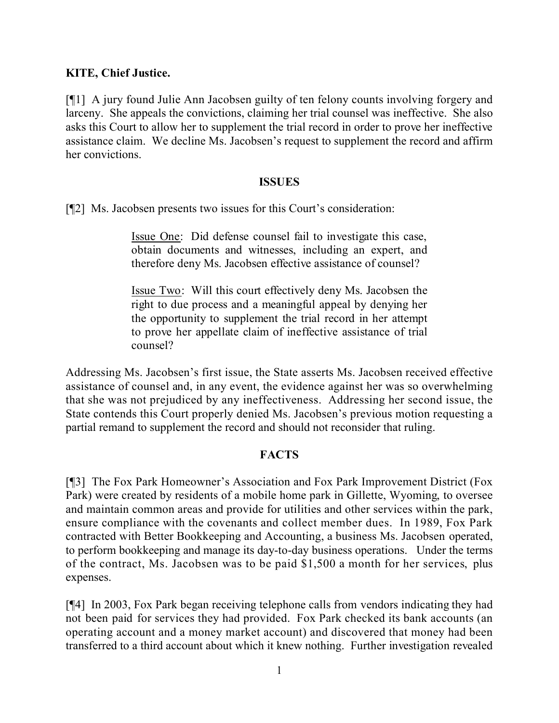### **KITE, Chief Justice.**

[¶1] A jury found Julie Ann Jacobsen guilty of ten felony counts involving forgery and larceny. She appeals the convictions, claiming her trial counsel was ineffective. She also asks this Court to allow her to supplement the trial record in order to prove her ineffective assistance claim. We decline Ms. Jacobsen's request to supplement the record and affirm her convictions.

#### **ISSUES**

[¶2] Ms. Jacobsen presents two issues for this Court's consideration:

Issue One: Did defense counsel fail to investigate this case, obtain documents and witnesses, including an expert, and therefore deny Ms. Jacobsen effective assistance of counsel?

Issue Two: Will this court effectively deny Ms. Jacobsen the right to due process and a meaningful appeal by denying her the opportunity to supplement the trial record in her attempt to prove her appellate claim of ineffective assistance of trial counsel?

Addressing Ms. Jacobsen's first issue, the State asserts Ms. Jacobsen received effective assistance of counsel and, in any event, the evidence against her was so overwhelming that she was not prejudiced by any ineffectiveness. Addressing her second issue, the State contends this Court properly denied Ms. Jacobsen's previous motion requesting a partial remand to supplement the record and should not reconsider that ruling.

### **FACTS**

[¶3] The Fox Park Homeowner's Association and Fox Park Improvement District (Fox Park) were created by residents of a mobile home park in Gillette, Wyoming, to oversee and maintain common areas and provide for utilities and other services within the park, ensure compliance with the covenants and collect member dues. In 1989, Fox Park contracted with Better Bookkeeping and Accounting, a business Ms. Jacobsen operated, to perform bookkeeping and manage its day-to-day business operations. Under the terms of the contract, Ms. Jacobsen was to be paid \$1,500 a month for her services, plus expenses.

[¶4] In 2003, Fox Park began receiving telephone calls from vendors indicating they had not been paid for services they had provided. Fox Park checked its bank accounts (an operating account and a money market account) and discovered that money had been transferred to a third account about which it knew nothing. Further investigation revealed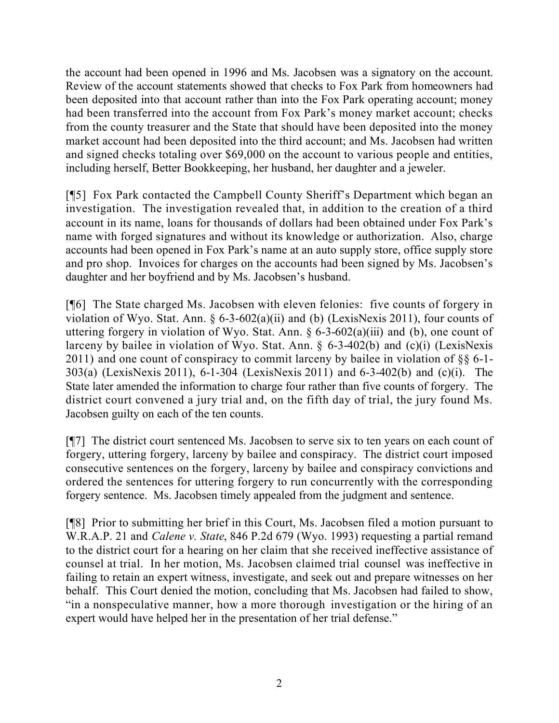the account had been opened in 1996 and Ms. Jacobsen was a signatory on the account. Review of the account statements showed that checks to Fox Park from homeowners had been deposited into that account rather than into the Fox Park operating account; money had been transferred into the account from Fox Park's money market account; checks from the county treasurer and the State that should have been deposited into the money market account had been deposited into the third account; and Ms. Jacobsen had written and signed checks totaling over \$69,000 on the account to various people and entities, including herself, Better Bookkeeping, her husband, her daughter and a jeweler.

[¶5] Fox Park contacted the Campbell County Sheriff's Department which began an investigation. The investigation revealed that, in addition to the creation of a third account in its name, loans for thousands of dollars had been obtained under Fox Park's name with forged signatures and without its knowledge or authorization. Also, charge accounts had been opened in Fox Park's name at an auto supply store, office supply store and pro shop. Invoices for charges on the accounts had been signed by Ms. Jacobsen's daughter and her boyfriend and by Ms. Jacobsen's husband.

[¶6] The State charged Ms. Jacobsen with eleven felonies: five counts of forgery in violation of Wyo. Stat. Ann. § 6-3-602(a)(ii) and (b) (LexisNexis 2011), four counts of uttering forgery in violation of Wyo. Stat. Ann.  $\S 6$ -3-602(a)(iii) and (b), one count of larceny by bailee in violation of Wyo. Stat. Ann. § 6-3-402(b) and (c)(i) (LexisNexis 2011) and one count of conspiracy to commit larceny by bailee in violation of §§ 6-1- 303(a) (LexisNexis 2011), 6-1-304 (LexisNexis 2011) and 6-3-402(b) and (c)(i). The State later amended the information to charge four rather than five counts of forgery. The district court convened a jury trial and, on the fifth day of trial, the jury found Ms. Jacobsen guilty on each of the ten counts.

[¶7] The district court sentenced Ms. Jacobsen to serve six to ten years on each count of forgery, uttering forgery, larceny by bailee and conspiracy. The district court imposed consecutive sentences on the forgery, larceny by bailee and conspiracy convictions and ordered the sentences for uttering forgery to run concurrently with the corresponding forgery sentence. Ms. Jacobsen timely appealed from the judgment and sentence.

[¶8] Prior to submitting her brief in this Court, Ms. Jacobsen filed a motion pursuant to W.R.A.P. 21 and *Calene v. State*, 846 P.2d 679 (Wyo. 1993) requesting a partial remand to the district court for a hearing on her claim that she received ineffective assistance of counsel at trial. In her motion, Ms. Jacobsen claimed trial counsel was ineffective in failing to retain an expert witness, investigate, and seek out and prepare witnesses on her behalf. This Court denied the motion, concluding that Ms. Jacobsen had failed to show, "in a nonspeculative manner, how a more thorough investigation or the hiring of an expert would have helped her in the presentation of her trial defense."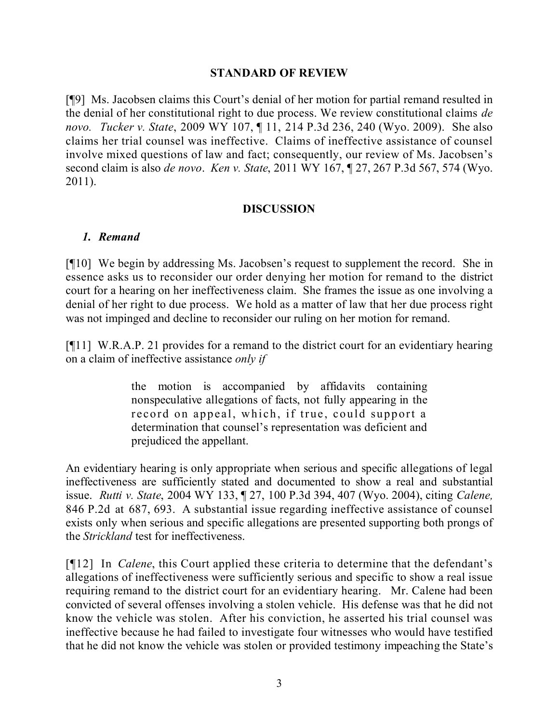### **STANDARD OF REVIEW**

[¶9] Ms. Jacobsen claims this Court's denial of her motion for partial remand resulted in the denial of her constitutional right to due process. We review constitutional claims *de novo. Tucker v. State*, 2009 WY 107, ¶ 11, 214 P.3d 236, 240 (Wyo. 2009). She also claims her trial counsel was ineffective. Claims of ineffective assistance of counsel involve mixed questions of law and fact; consequently, our review of Ms. Jacobsen's second claim is also *de novo*. *Ken v. State*, 2011 WY 167, ¶ 27, 267 P.3d 567, 574 (Wyo. 2011).

### **DISCUSSION**

# *1. Remand*

[¶10] We begin by addressing Ms. Jacobsen's request to supplement the record. She in essence asks us to reconsider our order denying her motion for remand to the district court for a hearing on her ineffectiveness claim. She frames the issue as one involving a denial of her right to due process. We hold as a matter of law that her due process right was not impinged and decline to reconsider our ruling on her motion for remand.

[¶11] W.R.A.P. 21 provides for a remand to the district court for an evidentiary hearing on a claim of ineffective assistance *only if*

> the motion is accompanied by affidavits containing nonspeculative allegations of facts, not fully appearing in the record on appeal, which, if true, could support a determination that counsel's representation was deficient and prejudiced the appellant.

An evidentiary hearing is only appropriate when serious and specific allegations of legal ineffectiveness are sufficiently stated and documented to show a real and substantial issue. *Rutti v. State*, 2004 WY 133, ¶ 27, 100 P.3d 394, 407 (Wyo. 2004), citing *Calene,* 846 P.2d at 687, 693. A substantial issue regarding ineffective assistance of counsel exists only when serious and specific allegations are presented supporting both prongs of the *Strickland* test for ineffectiveness.

[¶12] In *Calene*, this Court applied these criteria to determine that the defendant's allegations of ineffectiveness were sufficiently serious and specific to show a real issue requiring remand to the district court for an evidentiary hearing. Mr. Calene had been convicted of several offenses involving a stolen vehicle. His defense was that he did not know the vehicle was stolen. After his conviction, he asserted his trial counsel was ineffective because he had failed to investigate four witnesses who would have testified that he did not know the vehicle was stolen or provided testimony impeaching the State's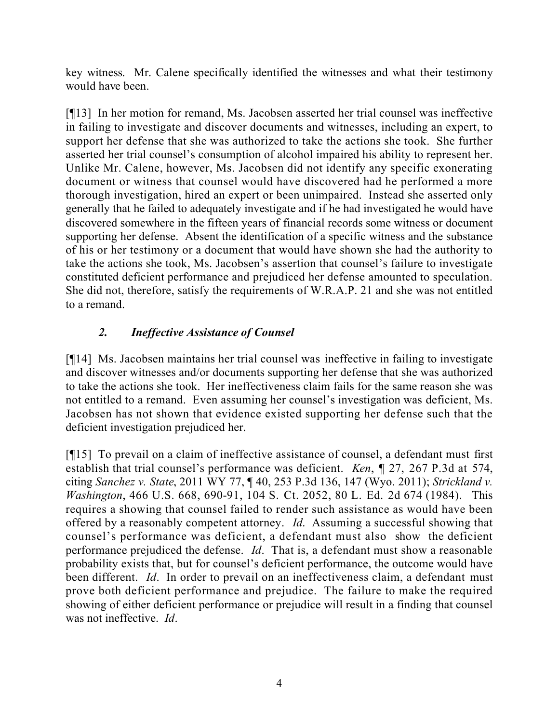key witness. Mr. Calene specifically identified the witnesses and what their testimony would have been.

[¶13] In her motion for remand, Ms. Jacobsen asserted her trial counsel was ineffective in failing to investigate and discover documents and witnesses, including an expert, to support her defense that she was authorized to take the actions she took. She further asserted her trial counsel's consumption of alcohol impaired his ability to represent her. Unlike Mr. Calene, however, Ms. Jacobsen did not identify any specific exonerating document or witness that counsel would have discovered had he performed a more thorough investigation, hired an expert or been unimpaired. Instead she asserted only generally that he failed to adequately investigate and if he had investigated he would have discovered somewhere in the fifteen years of financial records some witness or document supporting her defense. Absent the identification of a specific witness and the substance of his or her testimony or a document that would have shown she had the authority to take the actions she took, Ms. Jacobsen's assertion that counsel's failure to investigate constituted deficient performance and prejudiced her defense amounted to speculation. She did not, therefore, satisfy the requirements of W.R.A.P. 21 and she was not entitled to a remand.

# *2. Ineffective Assistance of Counsel*

[¶14] Ms. Jacobsen maintains her trial counsel was ineffective in failing to investigate and discover witnesses and/or documents supporting her defense that she was authorized to take the actions she took. Her ineffectiveness claim fails for the same reason she was not entitled to a remand. Even assuming her counsel's investigation was deficient, Ms. Jacobsen has not shown that evidence existed supporting her defense such that the deficient investigation prejudiced her.

[¶15] To prevail on a claim of ineffective assistance of counsel, a defendant must first establish that trial counsel's performance was deficient. *Ken*, ¶ 27, 267 P.3d at 574, citing *Sanchez v. State*, 2011 WY 77, ¶ 40, 253 P.3d 136, 147 (Wyo. 2011); *Strickland v. Washington*, 466 U.S. 668, 690-91, 104 S. Ct. 2052, 80 L. Ed. 2d 674 (1984). This requires a showing that counsel failed to render such assistance as would have been offered by a reasonably competent attorney. *Id*. Assuming a successful showing that counsel's performance was deficient, a defendant must also show the deficient performance prejudiced the defense. *Id*. That is, a defendant must show a reasonable probability exists that, but for counsel's deficient performance, the outcome would have been different. *Id*. In order to prevail on an ineffectiveness claim, a defendant must prove both deficient performance and prejudice. The failure to make the required showing of either deficient performance or prejudice will result in a finding that counsel was not ineffective. *Id*.